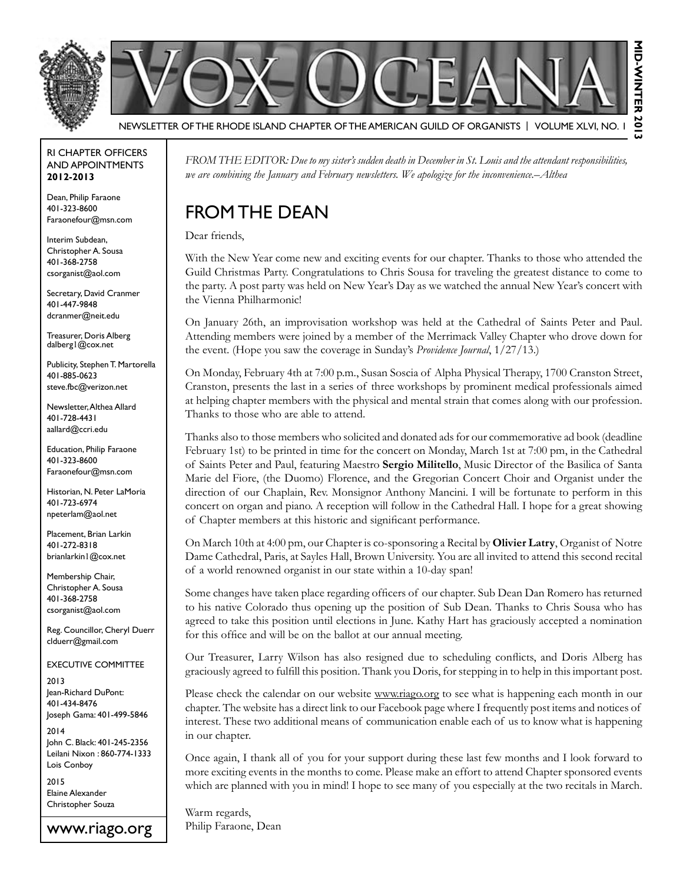



Newsletter of the Rhode Island Chapter of the American Guild of OrganistS | Volume XLVI, No. 1

#### RI Chapter Officers and Appointments **2012-2013**

Dean, Philip Faraone 401-323-8600 Faraonefour@msn.com

Interim Subdean, Christopher A. Sousa 401-368-2758 csorganist@aol.com

Secretary, David Cranmer 401-447-9848 dcranmer@neit.edu

Treasurer, Doris Alberg dalberg1@cox.net

Publicity, Stephen T. Martorella 401-885-0623 steve.fbc@verizon.net

Newsletter, Althea Allard 401-728-4431 aallard@ccri.edu

Education, Philip Faraone 401-323-8600 Faraonefour@msn.com

Historian, N. Peter LaMoria 401-723-6974 npeterlam@aol.net

Placement, Brian Larkin 401-272-8318 brianlarkin1@cox.net

Membership Chair, Christopher A. Sousa 401-368-2758 csorganist@aol.com

Reg. Councillor, Cheryl Duerr clduerr@gmail.com

Executive Committee

2013 Jean-Richard DuPont: 401-434-8476 Joseph Gama: 401-499-5846

2014 John C. Black: 401-245-2356 Leilani Nixon : 860-774-1333 Lois Conboy

2015 Elaine Alexander Christopher Souza

www.riago.org

*From the Editor: Due to my sister's sudden death in December in St. Louis and the attendant responsibilities, we are combining the January and February newsletters. We apologize for the inconvenience.–Althea*

### From the Dean

Dear friends,

With the New Year come new and exciting events for our chapter. Thanks to those who attended the Guild Christmas Party. Congratulations to Chris Sousa for traveling the greatest distance to come to the party. A post party was held on New Year's Day as we watched the annual New Year's concert with the Vienna Philharmonic!

On January 26th, an improvisation workshop was held at the Cathedral of Saints Peter and Paul. Attending members were joined by a member of the Merrimack Valley Chapter who drove down for the event. (Hope you saw the coverage in Sunday's *Providence Journal*, 1/27/13.)

On Monday, February 4th at 7:00 p.m., Susan Soscia of Alpha Physical Therapy, 1700 Cranston Street, Cranston, presents the last in a series of three workshops by prominent medical professionals aimed at helping chapter members with the physical and mental strain that comes along with our profession. Thanks to those who are able to attend.

Thanks also to those members who solicited and donated ads for our commemorative ad book (deadline February 1st) to be printed in time for the concert on Monday, March 1st at 7:00 pm, in the Cathedral of Saints Peter and Paul, featuring Maestro **Sergio Militello**, Music Director of the Basilica of Santa Marie del Fiore, (the Duomo) Florence, and the Gregorian Concert Choir and Organist under the direction of our Chaplain, Rev. Monsignor Anthony Mancini. I will be fortunate to perform in this concert on organ and piano. A reception will follow in the Cathedral Hall. I hope for a great showing of Chapter members at this historic and significant performance.

On March 10th at 4:00 pm, our Chapter is co-sponsoring a Recital by **Olivier Latry**, Organist of Notre Dame Cathedral, Paris, at Sayles Hall, Brown University. You are all invited to attend this second recital of a world renowned organist in our state within a 10-day span!

Some changes have taken place regarding officers of our chapter. Sub Dean Dan Romero has returned to his native Colorado thus opening up the position of Sub Dean. Thanks to Chris Sousa who has agreed to take this position until elections in June. Kathy Hart has graciously accepted a nomination for this office and will be on the ballot at our annual meeting.

Our Treasurer, Larry Wilson has also resigned due to scheduling conflicts, and Doris Alberg has graciously agreed to fulfill this position. Thank you Doris, for stepping in to help in this important post.

Please check the calendar on our website www.riago.org to see what is happening each month in our chapter. The website has a direct link to our Facebook page where I frequently post items and notices of interest. These two additional means of communication enable each of us to know what is happening in our chapter.

Once again, I thank all of you for your support during these last few months and I look forward to more exciting events in the months to come. Please make an effort to attend Chapter sponsored events which are planned with you in mind! I hope to see many of you especially at the two recitals in March.

Warm regards, Philip Faraone, Dean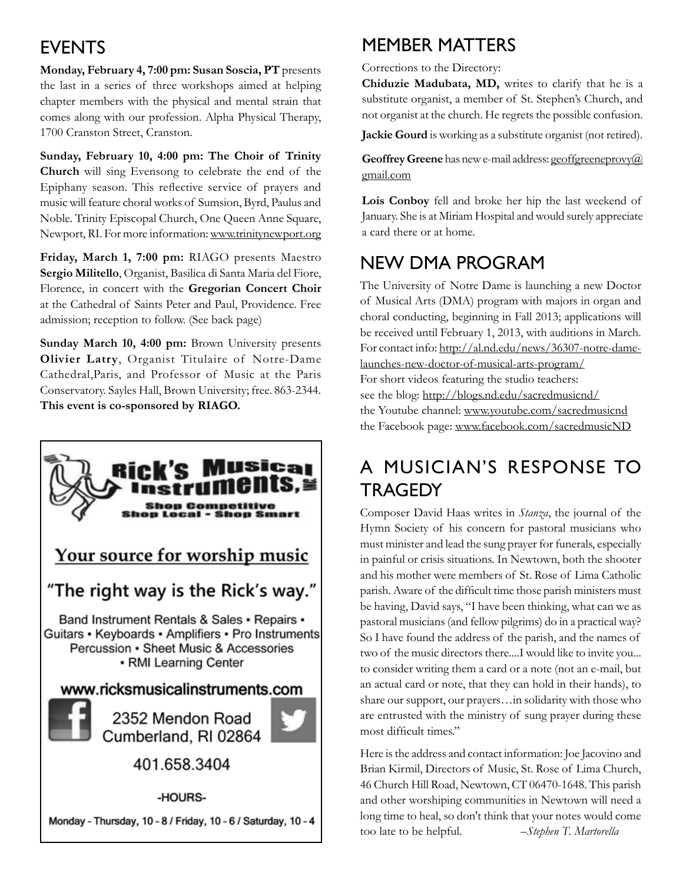### **EVENTS**

**Monday, February 4, 7:00 pm: Susan Soscia, PT** presents the last in a series of three workshops aimed at helping chapter members with the physical and mental strain that comes along with our profession. Alpha Physical Therapy, 1700 Cranston Street, Cranston.

**Sunday, February 10, 4:00 pm: The Choir of Trinity Church** will sing Evensong to celebrate the end of the Epiphany season. This reflective service of prayers and music will feature choral works of Sumsion, Byrd, Paulus and Noble. Trinity Episcopal Church, One Queen Anne Square, Newport, RI. For more information: www.trinitynewport.org

**Friday, March 1, 7:00 pm:** RIAGO presents Maestro **Sergio Militello**, Organist, Basilica di Santa Maria del Fiore, Florence, in concert with the **Gregorian Concert Choir**  at the Cathedral of Saints Peter and Paul, Providence. Free admission; reception to follow. (See back page)

**Sunday March 10, 4:00 pm:** Brown University presents **Olivier Latry**, Organist Titulaire of Notre-Dame Cathedral,Paris, and Professor of Music at the Paris Conservatory. Sayles Hall, Brown University; free. 863-2344. **This event is co-sponsored by RIAGO.**



### Member Matters

Corrections to the Directory:

**Chiduzie Madubata, MD,** writes to clarify that he is a substitute organist, a member of St. Stephen's Church, and not organist at the church. He regrets the possible confusion.

**Jackie Gourd** is working as a substitute organist (not retired).

Geoffrey Greene has new e-mail address: geoffgreeneprovy@ gmail.com

**Lois Conboy** fell and broke her hip the last weekend of January. She is at Miriam Hospital and would surely appreciate a card there or at home.

## New DMA program

The University of Notre Dame is launching a new Doctor of Musical Arts (DMA) program with majors in organ and choral conducting, beginning in Fall 2013; applications will be received until February 1, 2013, with auditions in March. For contact info: http://al.nd.edu/news/36307-notre-damelaunches-new-doctor-of-musical-arts-program/ For short videos featuring the studio teachers: see the blog: http://blogs.nd.edu/sacredmusicnd/ the Youtube channel: www.youtube.com/sacredmusicnd the Facebook page: www.facebook.com/sacredmusicND

## A Musician's Response to Tragedy

Composer David Haas writes in *Stanza*, the journal of the Hymn Society of his concern for pastoral musicians who must minister and lead the sung prayer for funerals, especially in painful or crisis situations. In Newtown, both the shooter and his mother were members of St. Rose of Lima Catholic parish. Aware of the difficult time those parish ministers must be having, David says, "I have been thinking, what can we as pastoral musicians (and fellow pilgrims) do in a practical way? So I have found the address of the parish, and the names of two of the music directors there....I would like to invite you... to consider writing them a card or a note (not an e-mail, but an actual card or note, that they can hold in their hands), to share our support, our prayers…in solidarity with those who are entrusted with the ministry of sung prayer during these most difficult times."

Here is the address and contact information: Joe Jacovino and Brian Kirmil, Directors of Music, St. Rose of Lima Church, 46 Church Hill Road, Newtown, CT 06470-1648. This parish and other worshiping communities in Newtown will need a long time to heal, so don't think that your notes would come too late to be helpful. –*Stephen T. Martorella*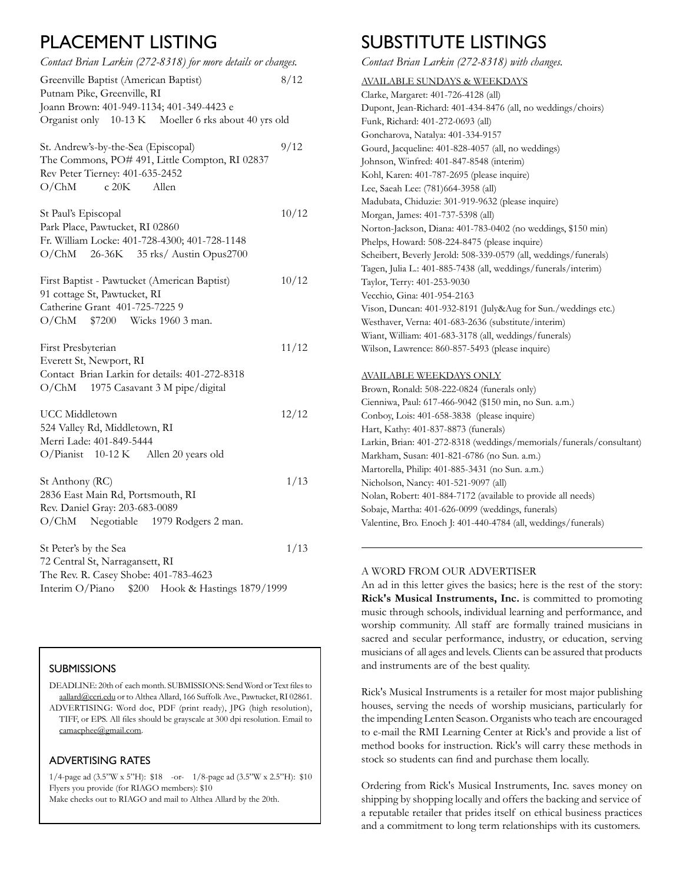### PLACEMENT LISTING

| Contact Brian Larkin (272-8318) for more details or changes.                                                                                         |       |
|------------------------------------------------------------------------------------------------------------------------------------------------------|-------|
| Greenville Baptist (American Baptist)<br>Putnam Pike, Greenville, RI<br>Joann Brown: 401-949-1134; 401-349-4423 e                                    | 8/12  |
| Organist only 10-13 K Moeller 6 rks about 40 yrs old                                                                                                 |       |
| St. Andrew's-by-the-Sea (Episcopal)<br>The Commons, PO# 491, Little Compton, RI 02837<br>Rev Peter Tierney: 401-635-2452<br>O/ChM<br>c20K<br>Allen   | 9/12  |
| St Paul's Episcopal<br>Park Place, Pawtucket, RI 02860<br>Fr. William Locke: 401-728-4300; 401-728-1148<br>O/ChM 26-36K 35 rks/ Austin Opus2700      | 10/12 |
| First Baptist - Pawtucket (American Baptist)<br>91 cottage St, Pawtucket, RI<br>Catherine Grant 401-725-7225 9<br>O/ChM<br>\$7200 Wicks 1960 3 man.  | 10/12 |
| First Presbyterian<br>Everett St, Newport, RI<br>Contact Brian Larkin for details: 401-272-8318<br>O/ChM 1975 Casavant 3 M pipe/digital              | 11/12 |
| <b>UCC</b> Middletown<br>524 Valley Rd, Middletown, RI<br>Merri Lade: 401-849-5444<br>O/Pianist 10-12 K Allen 20 years old                           | 12/12 |
| St Anthony (RC)<br>2836 East Main Rd, Portsmouth, RI<br>Rev. Daniel Gray: 203-683-0089<br>O/ChM Negotiable 1979 Rodgers 2 man.                       | 1/13  |
| St Peter's by the Sea<br>72 Central St, Narragansett, RI<br>The Rev. R. Casey Shobe: 401-783-4623<br>Interim O/Piano \$200 Hook & Hastings 1879/1999 | 1/13  |

#### **SUBMISSIONS**

DEADLINE: 20th of each month. SUBMISSIONS: Send Word or Text files to aallard@ccri.edu or to Althea Allard, 166 Suffolk Ave., Pawtucket, RI 02861. ADVERTISING: Word doc, PDF (print ready), JPG (high resolution), TIFF, or EPS. All files should be grayscale at 300 dpi resolution. Email to camacphee@gmail.com.

#### Advertising Rates

1/4-page ad (3.5"W x 5"H): \$18 -or- 1/8-page ad (3.5"W x 2.5"H): \$10 Flyers you provide (for RIAGO members): \$10 Make checks out to RIAGO and mail to Althea Allard by the 20th.

### SUBSTITUTE LISTINGS

*Contact Brian Larkin (272-8318) with changes.*

| <b>AVAILABLE SUNDAYS &amp; WEEKDAYS</b>                              |
|----------------------------------------------------------------------|
| Clarke, Margaret: 401-726-4128 (all)                                 |
| Dupont, Jean-Richard: 401-434-8476 (all, no weddings/choirs)         |
| Funk, Richard: 401-272-0693 (all)                                    |
| Goncharova, Natalya: 401-334-9157                                    |
| Gourd, Jacqueline: 401-828-4057 (all, no weddings)                   |
| Johnson, Winfred: 401-847-8548 (interim)                             |
| Kohl, Karen: 401-787-2695 (please inquire)                           |
| Lee, Saeah Lee: (781)664-3958 (all)                                  |
| Madubata, Chiduzie: 301-919-9632 (please inquire)                    |
| Morgan, James: 401-737-5398 (all)                                    |
| Norton-Jackson, Diana: 401-783-0402 (no weddings, \$150 min)         |
| Phelps, Howard: 508-224-8475 (please inquire)                        |
| Scheibert, Beverly Jerold: 508-339-0579 (all, weddings/funerals)     |
| Tagen, Julia L.: 401-885-7438 (all, weddings/funerals/interim)       |
| Taylor, Terry: 401-253-9030                                          |
| Vecchio, Gina: 401-954-2163                                          |
| Vison, Duncan: 401-932-8191 (July&Aug for Sun./weddings etc.)        |
| Westhaver, Verna: 401-683-2636 (substitute/interim)                  |
| Wiant, William: 401-683-3178 (all, weddings/funerals)                |
| Wilson, Lawrence: 860-857-5493 (please inquire)                      |
|                                                                      |
| AVAILABLE WEEKDAYS ONLY                                              |
| Brown, Ronald: 508-222-0824 (funerals only)                          |
| Cienniwa, Paul: 617-466-9042 (\$150 min, no Sun. a.m.)               |
| Conboy, Lois: 401-658-3838 (please inquire)                          |
| Hart, Kathy: 401-837-8873 (funerals)                                 |
| Larkin, Brian: 401-272-8318 (weddings/memorials/funerals/consultant) |
| Markham, Susan: 401-821-6786 (no Sun. a.m.)                          |
| Martorella, Philip: 401-885-3431 (no Sun. a.m.)                      |

Nicholson, Nancy: 401-521-9097 (all) Nolan, Robert: 401-884-7172 (available to provide all needs) Sobaje, Martha: 401-626-0099 (weddings, funerals) Valentine, Bro. Enoch J: 401-440-4784 (all, weddings/funerals)

#### A word from our advertiser

An ad in this letter gives the basics; here is the rest of the story: **Rick's Musical Instruments, Inc.** is committed to promoting music through schools, individual learning and performance, and worship community. All staff are formally trained musicians in sacred and secular performance, industry, or education, serving musicians of all ages and levels. Clients can be assured that products and instruments are of the best quality.

Rick's Musical Instruments is a retailer for most major publishing houses, serving the needs of worship musicians, particularly for the impending Lenten Season. Organists who teach are encouraged to e-mail the RMI Learning Center at Rick's and provide a list of method books for instruction. Rick's will carry these methods in stock so students can find and purchase them locally.

Ordering from Rick's Musical Instruments, Inc. saves money on shipping by shopping locally and offers the backing and service of a reputable retailer that prides itself on ethical business practices and a commitment to long term relationships with its customers.